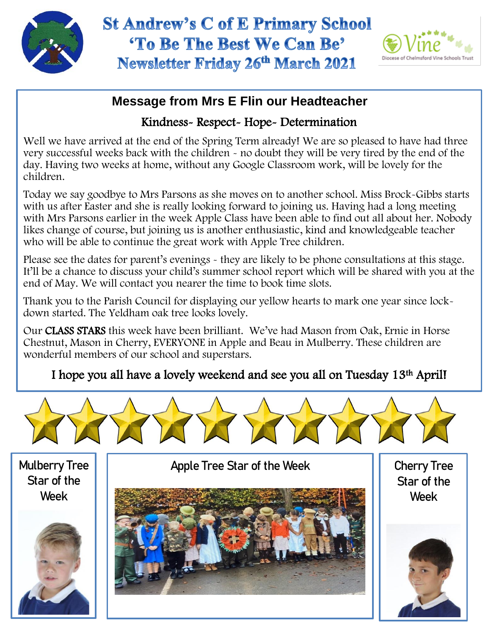



## **Message from Mrs E Flin our Headteacher**

#### Kindness- Respect- Hope- Determination

Well we have arrived at the end of the Spring Term already! We are so pleased to have had three very successful weeks back with the children - no doubt they will be very tired by the end of the day. Having two weeks at home, without any Google Classroom work, will be lovely for the children.

Today we say goodbye to Mrs Parsons as she moves on to another school. Miss Brock-Gibbs starts with us after Easter and she is really looking forward to joining us. Having had a long meeting with Mrs Parsons earlier in the week Apple Class have been able to find out all about her. Nobody likes change of course, but joining us is another enthusiastic, kind and knowledgeable teacher who will be able to continue the great work with Apple Tree children.

Please see the dates for parent's evenings - they are likely to be phone consultations at this stage. It'll be a chance to discuss your child's summer school report which will be shared with you at the end of May. We will contact you nearer the time to book time slots.

 Thank you to the Parish Council for displaying our yellow hearts to mark one year since lockdown started. The Yeldham oak tree looks lovely.

Our CLASS STARS this week have been brilliant. We've had Mason from Oak, Ernie in Horse Chestnut, Mason in Cherry, EVERYONE in Apple and Beau in Mulberry. These children are wonderful members of our school and superstars.

# I hope you all have a lovely weekend and see you all on Tuesday 13th April!



Mulberry Tree Star of the Week



Apple Tree Star of the Week



Cherry Tree Star of the Week